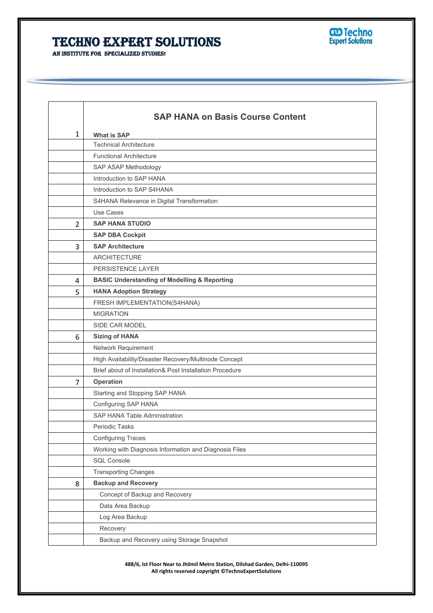## **Techno Expert Solutions**



**An institute for specialized studies!**

|                | <b>SAP HANA on Basis Course Content</b>                  |  |
|----------------|----------------------------------------------------------|--|
| $\mathbf{1}$   | <b>What is SAP</b>                                       |  |
|                | <b>Technical Architecture</b>                            |  |
|                | <b>Functional Architecture</b>                           |  |
|                | SAP ASAP Methodology                                     |  |
|                | Introduction to SAP HANA                                 |  |
|                | Introduction to SAP S4HANA                               |  |
|                | S4HANA Relevance in Digital Transformation               |  |
|                | Use Cases                                                |  |
| $\overline{2}$ | <b>SAP HANA STUDIO</b>                                   |  |
|                | <b>SAP DBA Cockpit</b>                                   |  |
| 3              | <b>SAP Architecture</b>                                  |  |
|                | <b>ARCHITECTURE</b>                                      |  |
|                | PERSISTENCE LAYER                                        |  |
| 4              | <b>BASIC Understanding of Modelling &amp; Reporting</b>  |  |
| 5              | <b>HANA Adoption Strategy</b>                            |  |
|                | FRESH IMPLEMENTATION(S4HANA)                             |  |
|                | <b>MIGRATION</b>                                         |  |
|                | SIDE CAR MODEL                                           |  |
| 6              | <b>Sizing of HANA</b>                                    |  |
|                | Network Requirement                                      |  |
|                | High Availability/Disaster Recovery/Multinode Concept    |  |
|                | Brief about of Installation& Post Installation Procedure |  |
| $\overline{7}$ | Operation                                                |  |
|                | Starting and Stopping SAP HANA                           |  |
|                | Configuring SAP HANA                                     |  |
|                | SAP HANA Table Administration                            |  |
|                | Periodic Tasks                                           |  |
|                | <b>Configuring Traces</b>                                |  |
|                | Working with Diagnosis Information and Diagnosis Files   |  |
|                | <b>SQL Console</b>                                       |  |
|                | <b>Transporting Changes</b>                              |  |
| 8              | <b>Backup and Recovery</b>                               |  |
|                | Concept of Backup and Recovery                           |  |
|                | Data Area Backup                                         |  |
|                | Log Area Backup                                          |  |
|                | Recovery                                                 |  |
|                | Backup and Recovery using Storage Snapshot               |  |

**488/6, Ist Floor Near to Jhilmil Metro Station, Dilshad Garden, Delhi-110095 All rights reserved copyright ©TechnoExpertSolutions**